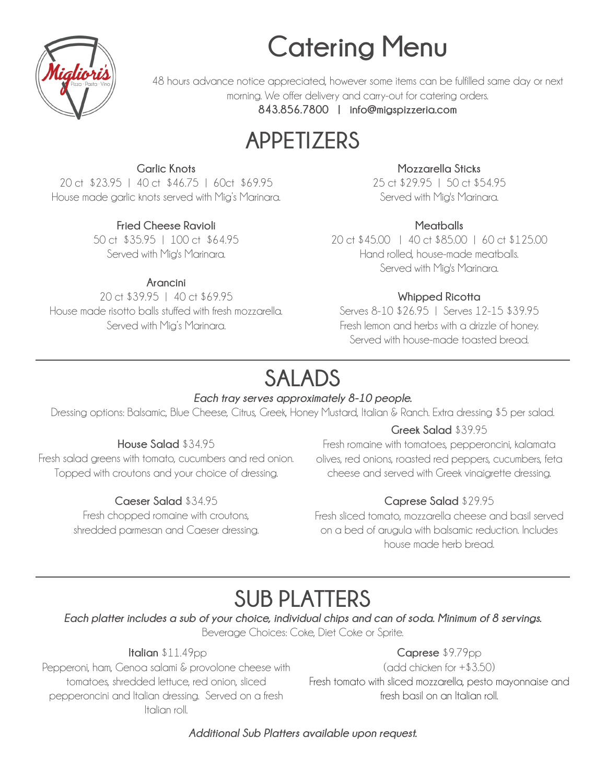# **Catering Menu**



48 hours advance notice appreciated, however some items can be fulfilled same day or next morning. We offer delivery and carry-out for catering orders. **843.856.7800 | info@migspizzeria.com**

### **APPETIZERS**

#### **Garlic Knots**

20 ct \$23.95 | 40 ct \$46.75 | 60ct \$69.95 House made garlic knots served with Mig's Marinara.

#### **Fried Cheese Ravioli**

50 ct \$35.95 | 100 ct \$64.95 Served with Mig's Marinara.

#### **Arancini**

20 ct \$39.95 | 40 ct \$69.95 House made risotto balls stuffed with fresh mozzarella. Served with Mig's Marinara.

#### **Mozzarella Sticks**

25 ct \$29.95 | 50 ct \$54.95 Served with Mig's Marinara.

#### **Meatballs**

20 ct \$45.00 | 40 ct \$85.00 | 60 ct \$125.00 Hand rolled, house-made meatballs. Served with Mig's Marinara.

#### **Whipped Ricotta**

Serves 8-10 \$26.95 | Serves 12-15 \$39.95 Fresh lemon and herbs with a drizzle of honey. Served with house-made toasted bread.

### **SALADS**

#### *Each tray serves approximately 8-10 people.*

Dressing options: Balsamic, Blue Cheese, Citrus, Greek, Honey Mustard, Italian & Ranch. Extra dressing \$5 per salad.

#### **House Salad** \$34.95

Fresh salad greens with tomato, cucumbers and red onion. Topped with croutons and your choice of dressing.

#### **Caeser Salad** \$34.95

Fresh chopped romaine with croutons, shredded parmesan and Caeser dressing.

#### **Greek Salad** \$39.95

Fresh romaine with tomatoes, pepperoncini, kalamata olives, red onions, roasted red peppers, cucumbers, feta cheese and served with Greek vinaigrette dressing.

#### **Caprese Salad** \$29.95

Fresh sliced tomato, mozzarella cheese and basil served on a bed of arugula with balsamic reduction. Includes house made herb bread.

### **SUB PLATTERS**

*Each platter includes a sub of your choice, individual chips and can of soda. Minimum of 8 servings.*

Beverage Choices: Coke, Diet Coke or Sprite.

**Italian** \$11.49pp

Pepperoni, ham, Genoa salami & provolone cheese with tomatoes, shredded lettuce, red onion, sliced pepperoncini and Italian dressing. Served on a fresh Italian roll.

#### **Caprese** \$9.79pp

(add chicken for +\$3.50) Fresh tomato with sliced mozzarella, pesto mayonnaise and fresh basil on an Italian roll.

*Additional Sub Platters available upon request.*